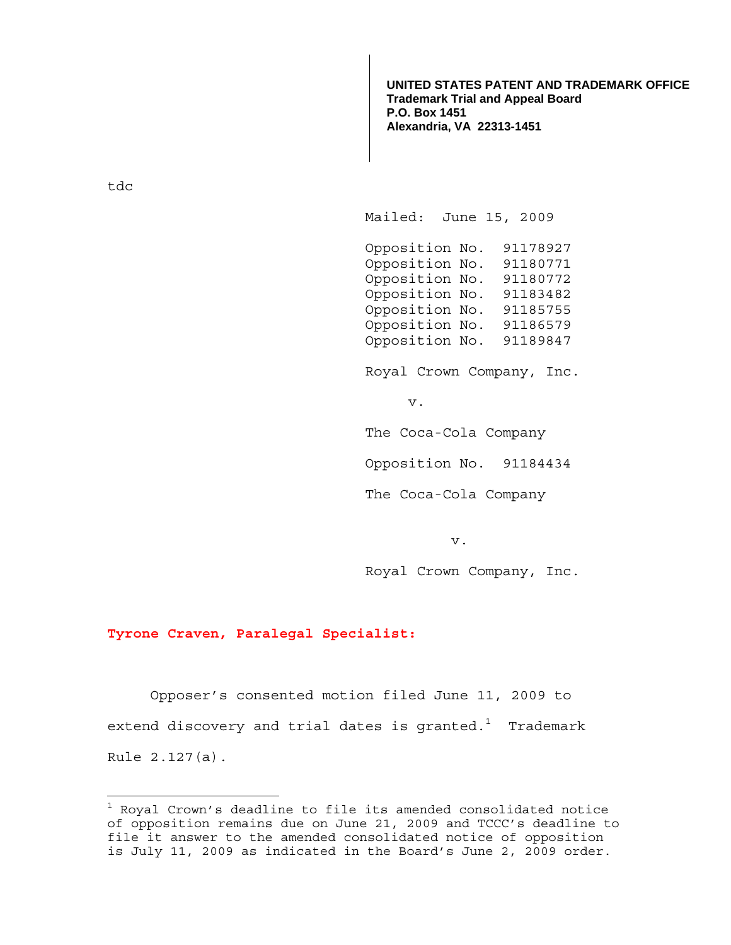**UNITED STATES PATENT AND TRADEMARK OFFICE Trademark Trial and Appeal Board P.O. Box 1451 Alexandria, VA 22313-1451**

tdc

÷.

Mailed: June 15, 2009

 Opposition No. 91178927 Opposition No. 91180771 Opposition No. 91180772 Opposition No. 91183482 Opposition No. 91185755 Opposition No. 91186579 Opposition No. 91189847

Royal Crown Company, Inc.

v.

The Coca-Cola Company

Opposition No. 91184434

The Coca-Cola Company

v.

Royal Crown Company, Inc.

## **Tyrone Craven, Paralegal Specialist:**

 Opposer's consented motion filed June 11, 2009 to extend discovery and trial dates is granted. $^{\rm 1}$  Trademark Rule 2.127(a).

 $^{\rm 1}$  Royal Crown's deadline to file its amended consolidated notice of opposition remains due on June 21, 2009 and TCCC's deadline to file it answer to the amended consolidated notice of opposition is July 11, 2009 as indicated in the Board's June 2, 2009 order.